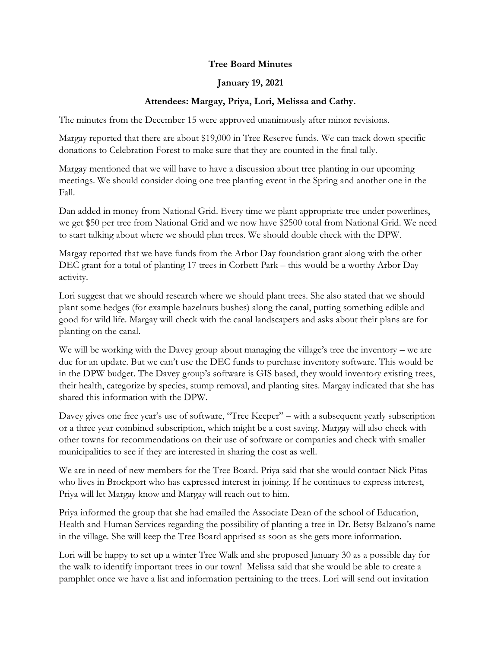## **Tree Board Minutes**

## **January 19, 2021**

## **Attendees: Margay, Priya, Lori, Melissa and Cathy.**

The minutes from the December 15 were approved unanimously after minor revisions.

Margay reported that there are about \$19,000 in Tree Reserve funds. We can track down specific donations to Celebration Forest to make sure that they are counted in the final tally.

Margay mentioned that we will have to have a discussion about tree planting in our upcoming meetings. We should consider doing one tree planting event in the Spring and another one in the Fall.

Dan added in money from National Grid. Every time we plant appropriate tree under powerlines, we get \$50 per tree from National Grid and we now have \$2500 total from National Grid. We need to start talking about where we should plan trees. We should double check with the DPW.

Margay reported that we have funds from the Arbor Day foundation grant along with the other DEC grant for a total of planting 17 trees in Corbett Park – this would be a worthy Arbor Day activity.

Lori suggest that we should research where we should plant trees. She also stated that we should plant some hedges (for example hazelnuts bushes) along the canal, putting something edible and good for wild life. Margay will check with the canal landscapers and asks about their plans are for planting on the canal.

We will be working with the Davey group about managing the village's tree the inventory – we are due for an update. But we can't use the DEC funds to purchase inventory software. This would be in the DPW budget. The Davey group's software is GIS based, they would inventory existing trees, their health, categorize by species, stump removal, and planting sites. Margay indicated that she has shared this information with the DPW.

Davey gives one free year's use of software, "Tree Keeper" – with a subsequent yearly subscription or a three year combined subscription, which might be a cost saving. Margay will also check with other towns for recommendations on their use of software or companies and check with smaller municipalities to see if they are interested in sharing the cost as well.

We are in need of new members for the Tree Board. Priya said that she would contact Nick Pitas who lives in Brockport who has expressed interest in joining. If he continues to express interest, Priya will let Margay know and Margay will reach out to him.

Priya informed the group that she had emailed the Associate Dean of the school of Education, Health and Human Services regarding the possibility of planting a tree in Dr. Betsy Balzano's name in the village. She will keep the Tree Board apprised as soon as she gets more information.

Lori will be happy to set up a winter Tree Walk and she proposed January 30 as a possible day for the walk to identify important trees in our town! Melissa said that she would be able to create a pamphlet once we have a list and information pertaining to the trees. Lori will send out invitation